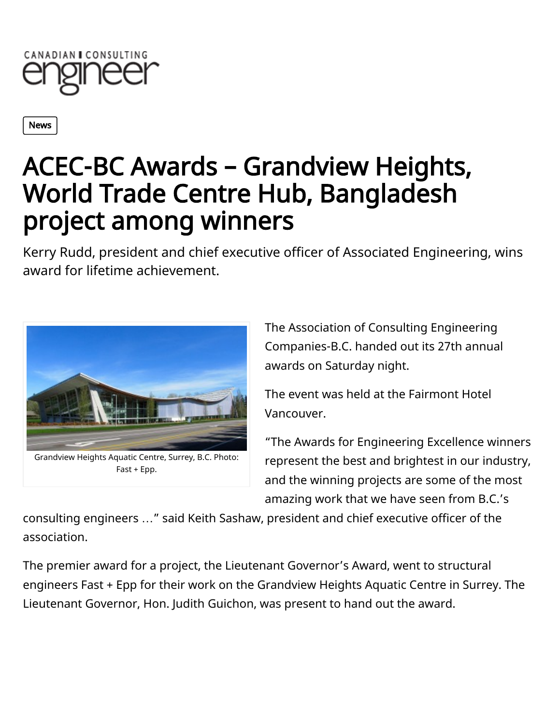

[News](http://www.canadianconsultingengineer.com/news)

## ACEC-BC Awards – Grandview Heights, World Trade Centre Hub, Bangladesh project among winners

Kerry Rudd, president and chief executive officer of Associated Engineering, wins award for lifetime achievement.



Fast + Epp.

The Association of Consulting Engineering Companies-B.C. handed out its 27th annual awards on Saturday night.

The event was held at the Fairmont Hotel Vancouver.

"The Awards for Engineering Excellence winners represent the best and brightest in our industry, and the winning projects are some of the most amazing work that we have seen from B.C.'s

consulting engineers …" said Keith Sashaw, president and chief executive officer of the association.

The premier award for a project, the Lieutenant Governor's Award, went to structural engineers Fast + Epp for their work on the Grandview Heights Aquatic Centre in Surrey. The Lieutenant Governor, Hon. Judith Guichon, was present to hand out the award.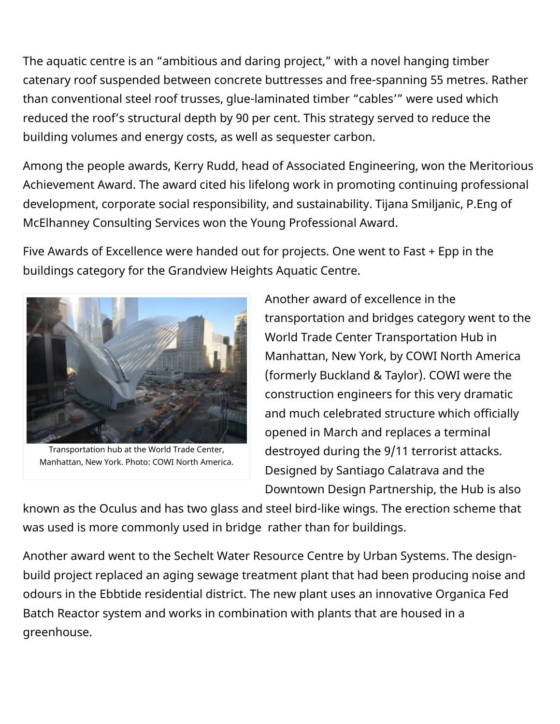The aquatic centre is an "ambitious and daring project," with a novel hanging timber catenary roof suspended between concrete buttresses and free-spanning 55 metres. Rather than conventional steel roof trusses, glue-laminated timber "cables'" were used which reduced the roof's structural depth by 90 per cent. This strategy served to reduce the building volumes and energy costs, as well as sequester carbon.

Among the people awards, Kerry Rudd, head of Associated Engineering, won the Meritorious Achievement Award. The award cited his lifelong work in promoting continuing professional development, corporate social responsibility, and sustainability. Tijana Smiljanic, P.Eng of McElhanney Consulting Services won the Young Professional Award.

Five Awards of Excellence were handed out for projects. One went to Fast + Epp in the buildings category for the Grandview Heights Aquatic Centre.



Transportation hub at the World Trade Center, Manhattan, New York. Photo: COWI North America.

Another award of excellence in the transportation and bridges category went to the World Trade Center Transportation Hub in Manhattan, New York, by COWI North America (formerly Buckland & Taylor). COWI were the construction engineers for this very dramatic and much celebrated structure which officially opened in March and replaces a terminal destroyed during the 9/11 terrorist attacks. Designed by Santiago Calatrava and the Downtown Design Partnership, the Hub is also

known as the Oculus and has two glass and steel bird-like wings. The erection scheme that was used is more commonly used in bridge rather than for buildings.

Another award went to the Sechelt Water Resource Centre by Urban Systems. The designbuild project replaced an aging sewage treatment plant that had been producing noise and odours in the Ebbtide residential district. The new plant uses an innovative Organica Fed Batch Reactor system and works in combination with plants that are housed in a greenhouse.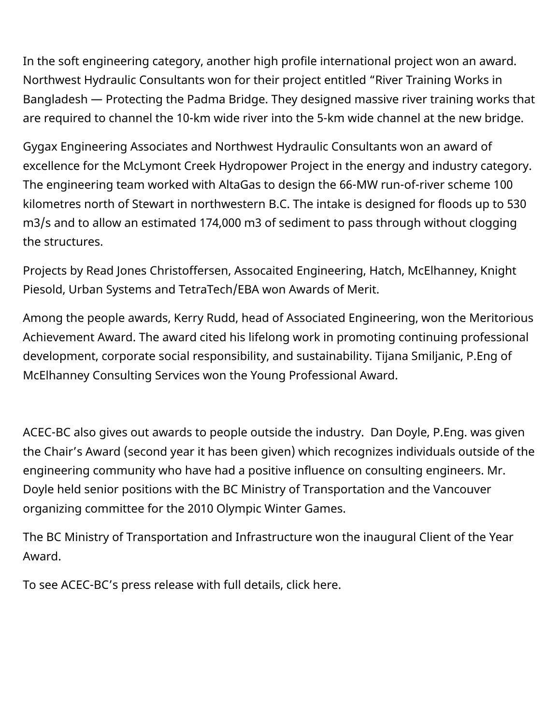In the soft engineering category, another high profile international project won an award. Northwest Hydraulic Consultants won for their project entitled "River Training Works in Bangladesh — Protecting the Padma Bridge. They designed massive river training works that are required to channel the 10-km wide river into the 5-km wide channel at the new bridge.

Gygax Engineering Associates and Northwest Hydraulic Consultants won an award of excellence for the McLymont Creek Hydropower Project in the energy and industry category. The engineering team worked with AltaGas to design the 66-MW run-of-river scheme 100 kilometres north of Stewart in northwestern B.C. The intake is designed for floods up to 530 m3/s and to allow an estimated 174,000 m3 of sediment to pass through without clogging the structures.

Projects by Read Jones Christoffersen, Assocaited Engineering, Hatch, McElhanney, Knight Piesold, Urban Systems and TetraTech/EBA won Awards of Merit.

Among the people awards, Kerry Rudd, head of Associated Engineering, won the Meritorious Achievement Award. The award cited his lifelong work in promoting continuing professional development, corporate social responsibility, and sustainability. Tijana Smiljanic, P.Eng of McElhanney Consulting Services won the Young Professional Award.

ACEC-BC also gives out awards to people outside the industry. Dan Doyle, P.Eng. was given the Chair's Award (second year it has been given) which recognizes individuals outside of the engineering community who have had a positive influence on consulting engineers. Mr. Doyle held senior positions with the BC Ministry of Transportation and the Vancouver organizing committee for the 2010 Olympic Winter Games.

The BC Ministry of Transportation and Infrastructure won the inaugural Client of the Year Award.

To see ACEC-BC's press release with full details, click [here](http://www.acec-bc.ca/resources/news/winners-of-2016-awards-for-engineering-excellence-announced/).